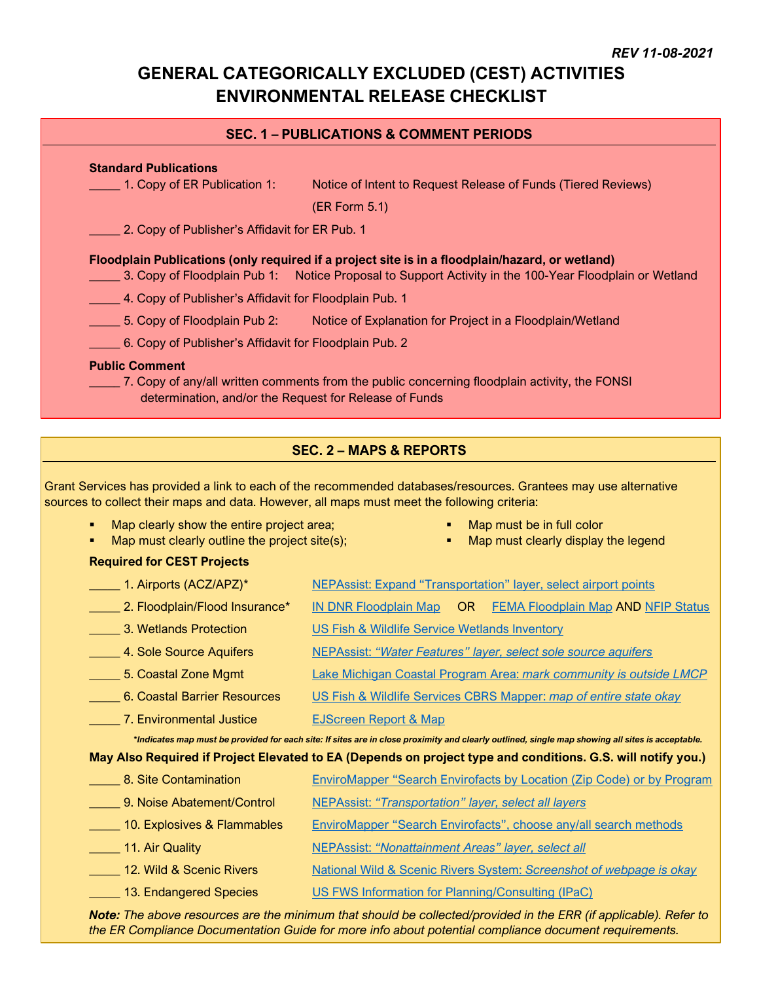# **GENERAL CATEGORICALLY EXCLUDED (CEST) ACTIVITIES ENVIRONMENTAL RELEASE CHECKLIST**

### **SEC. 1 – PUBLICATIONS & COMMENT PERIODS**

### **Standard Publications**

\_\_\_\_\_ 1. Copy of ER Publication 1: Notice of Intent to Request Release of Funds (Tiered Reviews)

(ER Form 5.1)

**2. Copy of Publisher's Affidavit for ER Pub. 1** 

### **Floodplain Publications (only required if a project site is in a floodplain/hazard, or wetland)**

- \_\_\_\_\_ 3. Copy of Floodplain Pub 1: Notice Proposal to Support Activity in the 100-Year Floodplain or Wetland
	- 4. Copy of Publisher's Affidavit for Floodplain Pub. 1
- 5. Copy of Floodplain Pub 2: Notice of Explanation for Project in a Floodplain/Wetland
- \_\_\_\_\_ 6. Copy of Publisher's Affidavit for Floodplain Pub. 2

#### **Public Comment**

\_\_\_\_\_ 7. Copy of any/all written comments from the public concerning floodplain activity, the FONSI determination, and/or the Request for Release of Funds

# **SEC. 2 – MAPS & REPORTS**

Grant Services has provided a link to each of the recommended databases/resources. Grantees may use alternative sources to collect their maps and data. However, all maps must meet the following criteria:

- Map clearly show the entire project area;
- Map must clearly outline the project site(s);
- Map must be in full color
- Map must clearly display the legend

### **Required for CEST Projects**

| 1. Airports (ACZ/APZ)*         | <b>NEPAssist: Expand "Transportation" layer, select airport points</b>                                                                           |
|--------------------------------|--------------------------------------------------------------------------------------------------------------------------------------------------|
| 2. Floodplain/Flood Insurance* | <b>IN DNR Floodplain Map</b><br>OR.<br><b>FEMA Floodplain Map AND NFIP Status</b>                                                                |
| 3. Wetlands Protection         | US Fish & Wildlife Service Wetlands Inventory                                                                                                    |
| 4. Sole Source Aquifers        | NEPAssist: "Water Features" layer, select sole source aquifers                                                                                   |
| 5. Coastal Zone Mgmt           | Lake Michigan Coastal Program Area: mark community is outside LMCP                                                                               |
| 6. Coastal Barrier Resources   | US Fish & Wildlife Services CBRS Mapper: map of entire state okay                                                                                |
| 7. Environmental Justice       | <b>EJScreen Report &amp; Map</b>                                                                                                                 |
|                                | *Indicates map must be provided for each site: If sites are in close proximity and clearly outlined, single map showing all sites is acceptable. |
|                                | May Also Required if Project Elevated to EA (Depends on project type and conditions. G.S. will notify you.)                                      |
| 8. Site Contamination          | <b>EnviroMapper "Search Envirofacts by Location (Zip Code) or by Program</b>                                                                     |
| 9. Noise Abatement/Control     | <b>NEPAssist: "Transportation" layer, select all layers</b>                                                                                      |
| 10. Explosives & Flammables    | EnviroMapper "Search Envirofacts", choose any/all search methods                                                                                 |
| __ 11. Air Quality             | <b>NEPAssist: "Nonattainment Areas" layer, select all</b>                                                                                        |
| 12. Wild & Scenic Rivers       | <b>National Wild &amp; Scenic Rivers System: Screenshot of webpage is okay</b>                                                                   |
| __ 13. Endangered Species      | US FWS Information for Planning/Consulting (IPaC)                                                                                                |

*Note: The above resources are the minimum that should be collected/provided in the ERR (if applicable). Refer to the ER Compliance Documentation Guide for more info about potential compliance document requirements.*